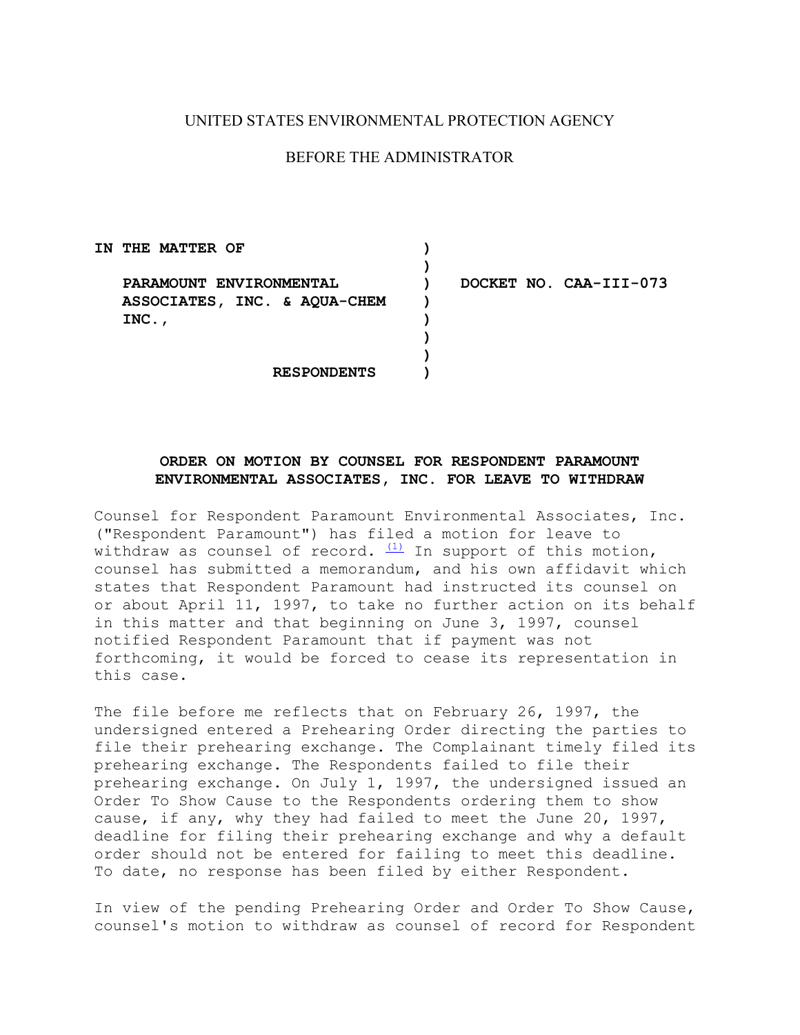## UNITED STATES ENVIRONMENTAL PROTECTION AGENCY

## BEFORE THE ADMINISTRATOR

| IN THE MATTER OF             |                        |
|------------------------------|------------------------|
|                              |                        |
| PARAMOUNT ENVIRONMENTAL      | DOCKET NO. CAA-III-073 |
| ASSOCIATES, INC. & AQUA-CHEM |                        |
| $INC.$ ,                     |                        |
|                              |                        |
|                              |                        |
| <b>RESPONDENTS</b>           |                        |

## **ENVIRONMENTAL ASSOCIATES, INC. FOR LEAVE TO WITHDRAW ORDER ON MOTION BY COUNSEL FOR RESPONDENT PARAMOUNT**

Counsel for Respondent Paramount Environmental Associates, Inc. ("Respondent Paramount") has filed a motion for leave to withdraw as counsel of record.  $\frac{(1)}{1}$  In support of this motion, counsel has submitted a memorandum, and his own affidavit which states that Respondent Paramount had instructed its counsel on or about April 11, 1997, to take no further action on its behalf in this matter and that beginning on June 3, 1997, counsel notified Respondent Paramount that if payment was not forthcoming, it would be forced to cease its representation in this case.

The file before me reflects that on February 26, 1997, the undersigned entered a Prehearing Order directing the parties to file their prehearing exchange. The Complainant timely filed its prehearing exchange. The Respondents failed to file their prehearing exchange. On July 1, 1997, the undersigned issued an Order To Show Cause to the Respondents ordering them to show cause, if any, why they had failed to meet the June 20, 1997, deadline for filing their prehearing exchange and why a default order should not be entered for failing to meet this deadline. To date, no response has been filed by either Respondent.

In view of the pending Prehearing Order and Order To Show Cause, counsel's motion to withdraw as counsel of record for Respondent